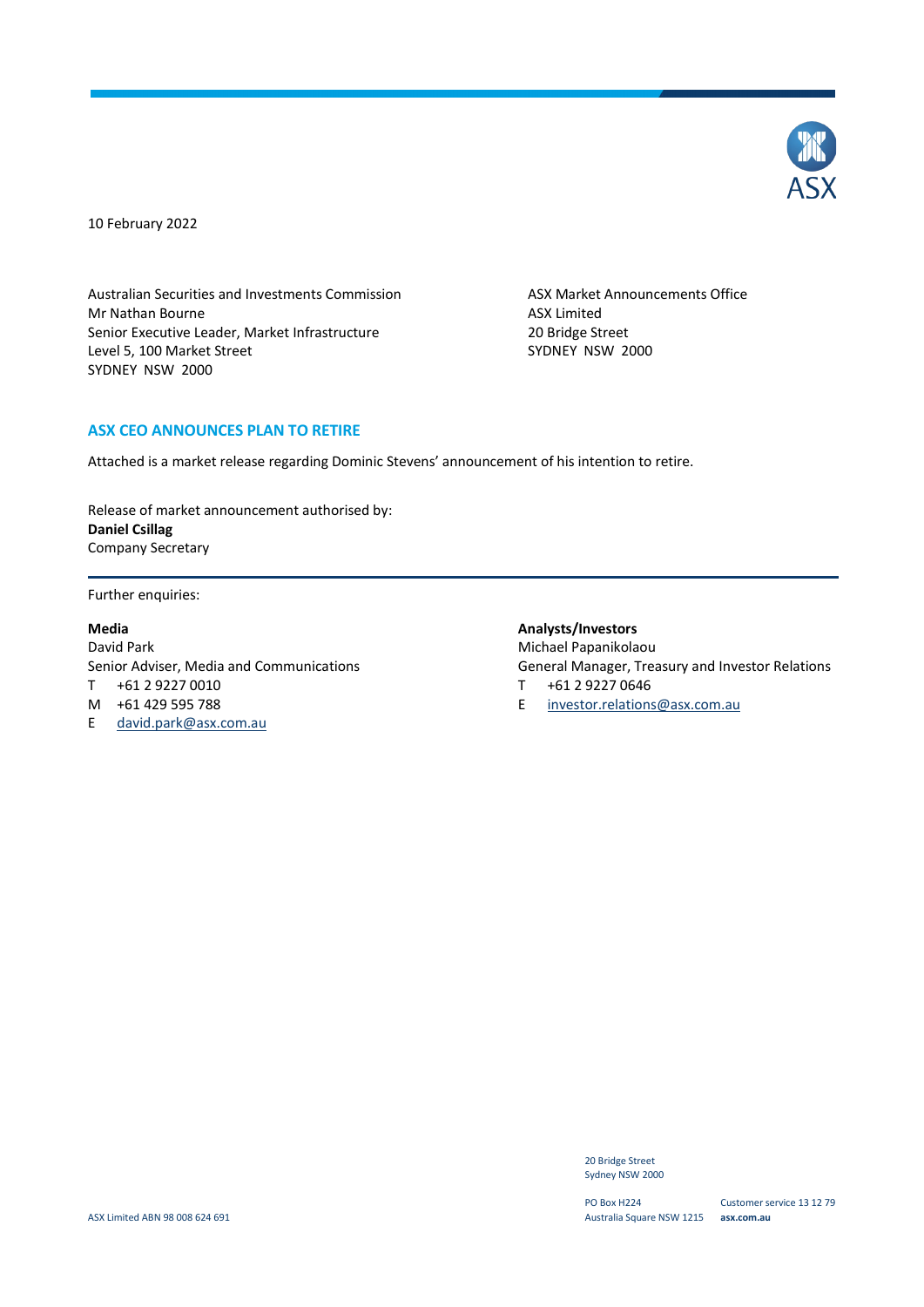

10 February 2022

Australian Securities and Investments Commission ASX Market Announcements Office Mr Nathan Bourne **ASX** Limited Senior Executive Leader, Market Infrastructure 20 Bridge Street<br>
20 Bridge Street 2000<br>
2000 SYDNEY NSW Level 5, 100 Market Street SYDNEY NSW 2000

### **ASX CEO ANNOUNCES PLAN TO RETIRE**

Attached is a market release regarding Dominic Stevens' announcement of his intention to retire.

Release of market announcement authorised by: **Daniel Csillag** Company Secretary

Further enquiries:

#### **Media**

David Park Senior Adviser, Media and Communications T +61 2 9227 0010 M +61 429 595 788 E david.park@asx.com.au

### **Analysts/Investors**

Michael Papanikolaou General Manager, Treasury and Investor Relations

- T +61 2 9227 0646
- E [investor.relations@asx.com.au](mailto:investor.relations@asx.com.au)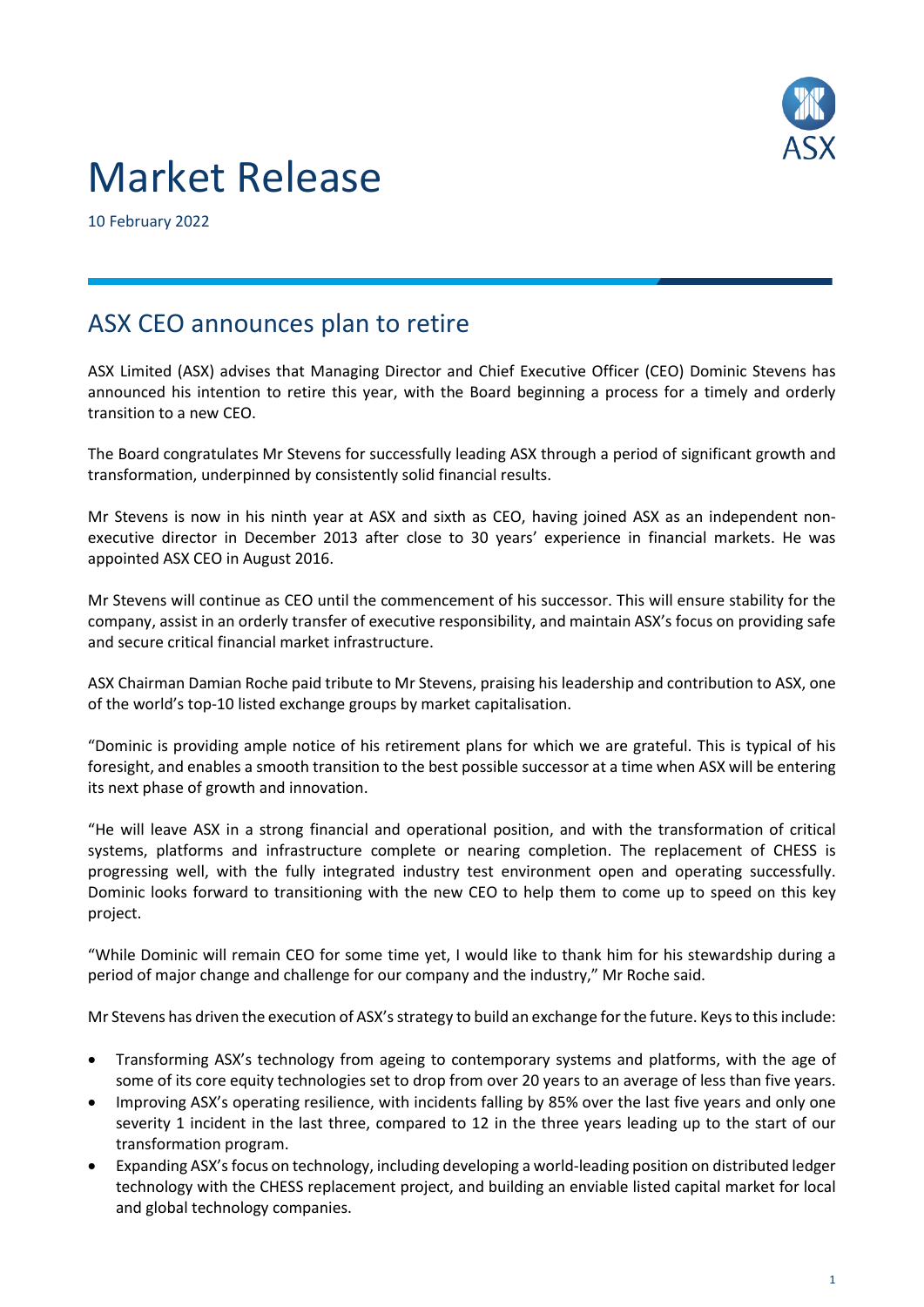

# Market Release

10 February 2022

# ASX CEO announces plan to retire

ASX Limited (ASX) advises that Managing Director and Chief Executive Officer (CEO) Dominic Stevens has announced his intention to retire this year, with the Board beginning a process for a timely and orderly transition to a new CEO.

The Board congratulates Mr Stevens for successfully leading ASX through a period of significant growth and transformation, underpinned by consistently solid financial results.

Mr Stevens is now in his ninth year at ASX and sixth as CEO, having joined ASX as an independent nonexecutive director in December 2013 after close to 30 years' experience in financial markets. He was appointed ASX CEO in August 2016.

Mr Stevens will continue as CEO until the commencement of his successor. This will ensure stability for the company, assist in an orderly transfer of executive responsibility, and maintain ASX's focus on providing safe and secure critical financial market infrastructure.

ASX Chairman Damian Roche paid tribute to Mr Stevens, praising his leadership and contribution to ASX, one of the world's top-10 listed exchange groups by market capitalisation.

"Dominic is providing ample notice of his retirement plans for which we are grateful. This is typical of his foresight, and enables a smooth transition to the best possible successor at a time when ASX will be entering its next phase of growth and innovation.

"He will leave ASX in a strong financial and operational position, and with the transformation of critical systems, platforms and infrastructure complete or nearing completion. The replacement of CHESS is progressing well, with the fully integrated industry test environment open and operating successfully. Dominic looks forward to transitioning with the new CEO to help them to come up to speed on this key project.

"While Dominic will remain CEO for some time yet, I would like to thank him for his stewardship during a period of major change and challenge for our company and the industry," Mr Roche said.

Mr Stevens has driven the execution of ASX'sstrategy to build an exchange for the future. Keysto this include:

- Transforming ASX's technology from ageing to contemporary systems and platforms, with the age of some of its core equity technologies set to drop from over 20 years to an average of less than five years.
- Improving ASX's operating resilience, with incidents falling by 85% over the last five years and only one severity 1 incident in the last three, compared to 12 in the three years leading up to the start of our transformation program.
- Expanding ASX's focus on technology, including developing a world-leading position on distributed ledger technology with the CHESS replacement project, and building an enviable listed capital market for local and global technology companies.